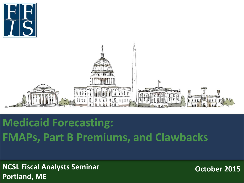

#### **Medicaid Forecasting: FMAPs, Part B Premiums, and Clawbacks**

**NCSL Fiscal Analysts Seminar October 2015 Portland, ME**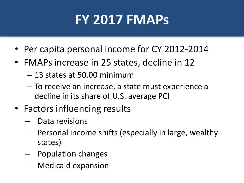## **FY 2017 FMAPs**

- Per capita personal income for CY 2012-2014
- FMAPs increase in 25 states, decline in 12
	- 13 states at 50.00 minimum
	- To receive an increase, a state must experience a decline in its share of U.S. average PCI
- Factors influencing results
	- Data revisions
	- Personal income shifts (especially in large, wealthy states)
	- Population changes
	- Medicaid expansion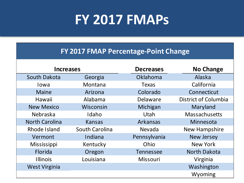### **FY 2017 FMAPs**

#### **FY 2017 FMAP Percentage-Point Change**

| <b>Increases</b>      |                       | <b>Decreases</b> | <b>No Change</b>     |  |
|-----------------------|-----------------------|------------------|----------------------|--|
| <b>South Dakota</b>   | Georgia               | Oklahoma         | Alaska               |  |
| Iowa                  | Montana               | <b>Texas</b>     | California           |  |
| <b>Maine</b>          | Arizona               | Colorado         | Connecticut          |  |
| Hawaii                | Alabama               | Delaware         | District of Columbia |  |
| <b>New Mexico</b>     | Wisconsin             | Michigan         | Maryland             |  |
| <b>Nebraska</b>       | Idaho                 | <b>Utah</b>      | <b>Massachusetts</b> |  |
| <b>North Carolina</b> | <b>Kansas</b>         | Arkansas         | Minnesota            |  |
| Rhode Island          | <b>South Carolina</b> | <b>Nevada</b>    | <b>New Hampshire</b> |  |
| Vermont               | Indiana               | Pennsylvania     | <b>New Jersey</b>    |  |
| <b>Mississippi</b>    | Kentucky              | Ohio             | <b>New York</b>      |  |
| Florida               | Oregon                | <b>Tennessee</b> | <b>North Dakota</b>  |  |
| <b>Illinois</b>       | Louisiana             | Missouri         | Virginia             |  |
| <b>West Virginia</b>  |                       |                  | Washington           |  |
|                       |                       |                  | Wyoming              |  |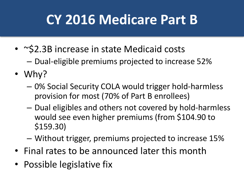# **CY 2016 Medicare Part B**

- ~\$2.3B increase in state Medicaid costs
	- Dual-eligible premiums projected to increase 52%
- Why?
	- 0% Social Security COLA would trigger hold-harmless provision for most (70% of Part B enrollees)
	- Dual eligibles and others not covered by hold-harmless would see even higher premiums (from \$104.90 to \$159.30)
	- Without trigger, premiums projected to increase 15%
- Final rates to be announced later this month
- Possible legislative fix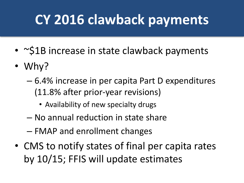## **CY 2016 clawback payments**

- ~\$1B increase in state clawback payments
- Why?
	- 6.4% increase in per capita Part D expenditures (11.8% after prior-year revisions)
		- Availability of new specialty drugs
	- No annual reduction in state share
	- FMAP and enrollment changes
- CMS to notify states of final per capita rates by 10/15; FFIS will update estimates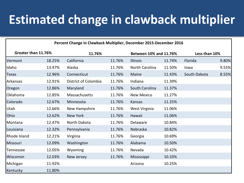### **Estimated change in clawback multiplier**

| Percent Change in Clawback Multiplier, December 2015-December 2016 |        |                      |        |                        |        |               |       |  |  |
|--------------------------------------------------------------------|--------|----------------------|--------|------------------------|--------|---------------|-------|--|--|
| Greater than 11.76%                                                |        | 11.76%               |        | Between 10% and 11.76% |        | Less than 10% |       |  |  |
| Vermont                                                            | 18.25% | California           | 11.76% | <b>Illinois</b>        | 11.74% | Florida       | 9.80% |  |  |
| Idaho                                                              | 13.47% | Alaska               | 11.76% | North Carolina         | 11.50% | lowa          | 9.55% |  |  |
| <b>Texas</b>                                                       | 12.96% | Connecticut          | 11.76% | Maine                  | 11.43% | South Dakota  | 8.55% |  |  |
| Arkansas                                                           | 12.91% | District of Colombia | 11.76% | Indiana                | 11.39% |               |       |  |  |
| Oregon                                                             | 12.86% | Maryland             | 11.76% | South Carolina         | 11.37% |               |       |  |  |
| Oklahoma                                                           | 12.85% | Massachusetts        | 11.76% | <b>New Mexico</b>      | 11.27% |               |       |  |  |
| Colorado                                                           | 12.67% | Minnesota            | 11.76% | Kansas                 | 11.25% |               |       |  |  |
| Utah                                                               | 12.66% | New Hampshire        | 11.76% | West Virginia          | 11.06% |               |       |  |  |
| Ohio                                                               | 12.62% | <b>New York</b>      | 11.76% | Hawaii                 | 11.06% |               |       |  |  |
| Montana                                                            | 12.47% | North Dakota         | 11.76% | Delaware               | 10.84% |               |       |  |  |
| Louisiana                                                          | 12.32% | Pennsylvania         | 11.76% | Nebraska               | 10.82% |               |       |  |  |
| Rhode Island                                                       | 12.21% | Virginia             | 11.76% | Georgia                | 10.69% |               |       |  |  |
| Missouri                                                           | 12.09% | Washington           | 11.76% | Alabama                | 10.50% |               |       |  |  |
| Tennessee                                                          | 12.05% | Wyoming              | 11.76% | Nevada                 | 10.42% |               |       |  |  |
| Wisconsin                                                          | 12.03% | New Jersey           | 11.76% | Mississippi            | 10.33% |               |       |  |  |
| Michigan                                                           | 11.92% |                      |        | Arizona                | 10.25% |               |       |  |  |
| Kentucky                                                           | 11.80% |                      |        |                        |        |               |       |  |  |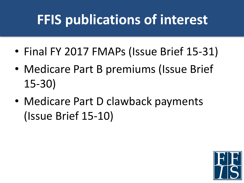# **FFIS publications of interest**

- Final FY 2017 FMAPs (Issue Brief 15-31)
- Medicare Part B premiums (Issue Brief 15-30)
- Medicare Part D clawback payments (Issue Brief 15-10)